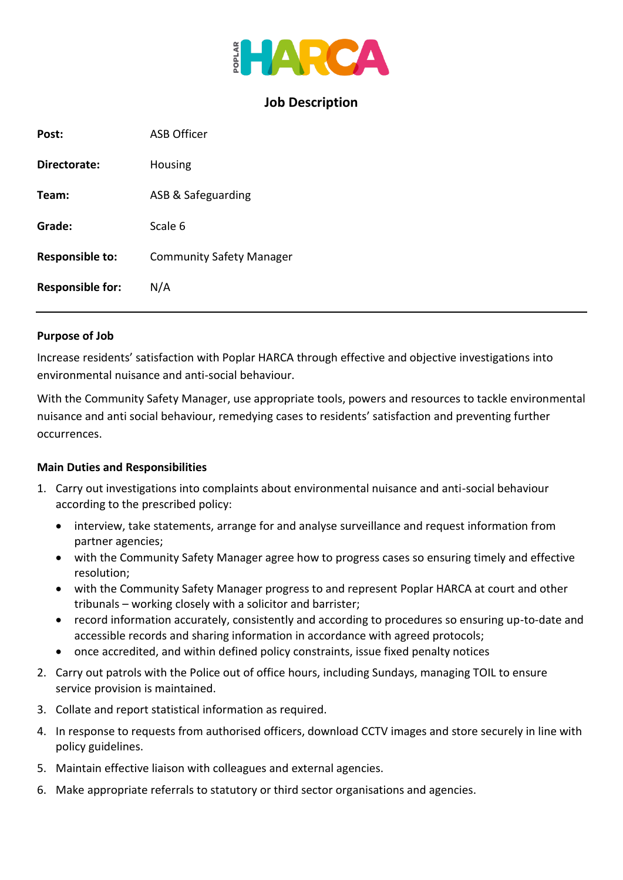

## **Job Description**

| Post:                   | <b>ASB</b> Officer              |
|-------------------------|---------------------------------|
| Directorate:            | Housing                         |
| Team:                   | ASB & Safeguarding              |
| Grade:                  | Scale 6                         |
| <b>Responsible to:</b>  | <b>Community Safety Manager</b> |
| <b>Responsible for:</b> | N/A                             |

#### **Purpose of Job**

Increase residents' satisfaction with Poplar HARCA through effective and objective investigations into environmental nuisance and anti-social behaviour.

With the Community Safety Manager, use appropriate tools, powers and resources to tackle environmental nuisance and anti social behaviour, remedying cases to residents' satisfaction and preventing further occurrences.

#### **Main Duties and Responsibilities**

- 1. Carry out investigations into complaints about environmental nuisance and anti-social behaviour according to the prescribed policy:
	- interview, take statements, arrange for and analyse surveillance and request information from partner agencies;
	- with the Community Safety Manager agree how to progress cases so ensuring timely and effective resolution;
	- with the Community Safety Manager progress to and represent Poplar HARCA at court and other tribunals – working closely with a solicitor and barrister;
	- record information accurately, consistently and according to procedures so ensuring up-to-date and accessible records and sharing information in accordance with agreed protocols;
	- once accredited, and within defined policy constraints, issue fixed penalty notices
- 2. Carry out patrols with the Police out of office hours, including Sundays, managing TOIL to ensure service provision is maintained.
- 3. Collate and report statistical information as required.
- 4. In response to requests from authorised officers, download CCTV images and store securely in line with policy guidelines.
- 5. Maintain effective liaison with colleagues and external agencies.
- 6. Make appropriate referrals to statutory or third sector organisations and agencies.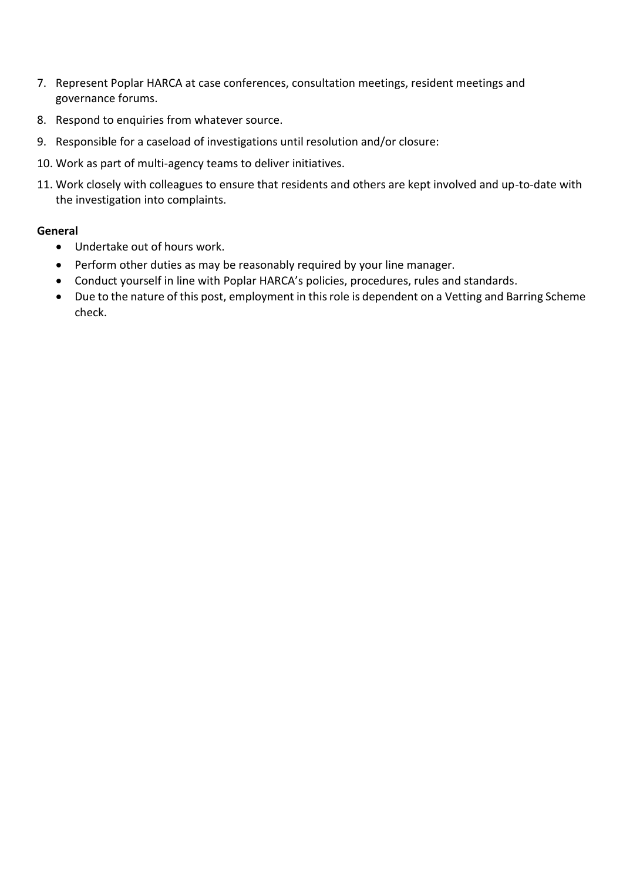- 7. Represent Poplar HARCA at case conferences, consultation meetings, resident meetings and governance forums.
- 8. Respond to enquiries from whatever source.
- 9. Responsible for a caseload of investigations until resolution and/or closure:
- 10. Work as part of multi-agency teams to deliver initiatives.
- 11. Work closely with colleagues to ensure that residents and others are kept involved and up-to-date with the investigation into complaints.

### **General**

- Undertake out of hours work.
- Perform other duties as may be reasonably required by your line manager.
- Conduct yourself in line with Poplar HARCA's policies, procedures, rules and standards.
- Due to the nature of this post, employment in this role is dependent on a Vetting and Barring Scheme check.